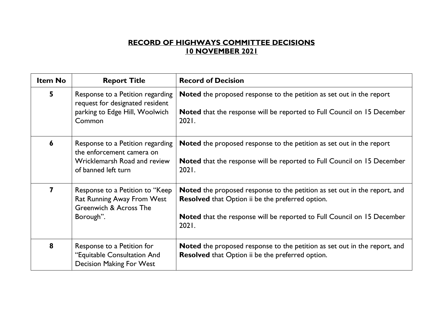## **RECORD OF HIGHWAYS COMMITTEE DECISIONS 10 NOVEMBER 2021**

| <b>Item No</b> | <b>Report Title</b>                                                                                                  | <b>Record of Decision</b>                                                                                                                                                                                                              |
|----------------|----------------------------------------------------------------------------------------------------------------------|----------------------------------------------------------------------------------------------------------------------------------------------------------------------------------------------------------------------------------------|
| 5              | Response to a Petition regarding<br>request for designated resident<br>parking to Edge Hill, Woolwich<br>Common      | Noted the proposed response to the petition as set out in the report<br><b>Noted</b> that the response will be reported to Full Council on 15 December<br>2021.                                                                        |
| 6              | Response to a Petition regarding<br>the enforcement camera on<br>Wricklemarsh Road and review<br>of banned left turn | <b>Noted</b> the proposed response to the petition as set out in the report<br><b>Noted</b> that the response will be reported to Full Council on 15 December<br>2021.                                                                 |
| 7              | Response to a Petition to "Keep<br><b>Rat Running Away From West</b><br>Greenwich & Across The<br>Borough".          | <b>Noted</b> the proposed response to the petition as set out in the report, and<br><b>Resolved</b> that Option ii be the preferred option.<br><b>Noted</b> that the response will be reported to Full Council on 15 December<br>2021. |
| 8              | Response to a Petition for<br>"Equitable Consultation And<br><b>Decision Making For West</b>                         | <b>Noted</b> the proposed response to the petition as set out in the report, and<br><b>Resolved</b> that Option ii be the preferred option.                                                                                            |